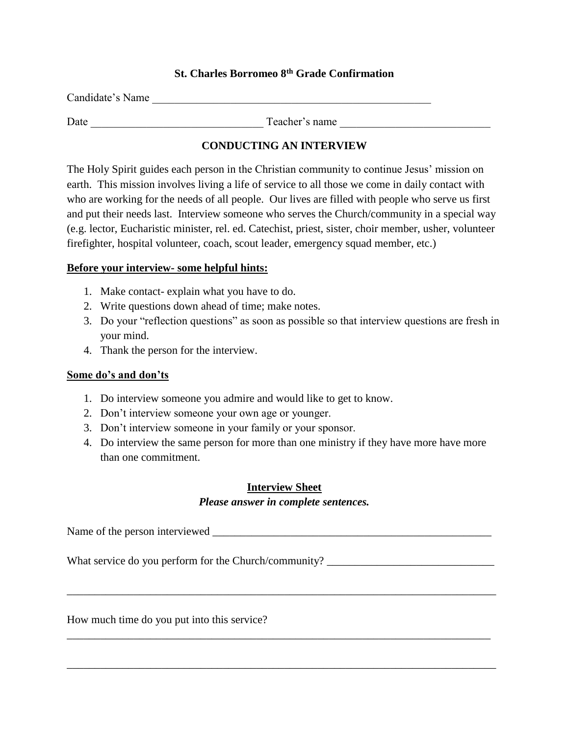# **St. Charles Borromeo 8th Grade Confirmation**

| Candidate's Name |                |
|------------------|----------------|
| Date             | Teacher's name |

# **CONDUCTING AN INTERVIEW**

The Holy Spirit guides each person in the Christian community to continue Jesus' mission on earth. This mission involves living a life of service to all those we come in daily contact with who are working for the needs of all people. Our lives are filled with people who serve us first and put their needs last. Interview someone who serves the Church/community in a special way (e.g. lector, Eucharistic minister, rel. ed. Catechist, priest, sister, choir member, usher, volunteer firefighter, hospital volunteer, coach, scout leader, emergency squad member, etc.)

### **Before your interview- some helpful hints:**

- 1. Make contact- explain what you have to do.
- 2. Write questions down ahead of time; make notes.
- 3. Do your "reflection questions" as soon as possible so that interview questions are fresh in your mind.
- 4. Thank the person for the interview.

### **Some do's and don'ts**

- 1. Do interview someone you admire and would like to get to know.
- 2. Don't interview someone your own age or younger.
- 3. Don't interview someone in your family or your sponsor.
- 4. Do interview the same person for more than one ministry if they have more have more than one commitment.

# **Interview Sheet**

## *Please answer in complete sentences.*

Name of the person interviewed \_\_\_\_\_\_\_\_\_\_\_\_\_\_\_\_\_\_\_\_\_\_\_\_\_\_\_\_\_\_\_\_\_\_\_\_\_\_\_\_\_\_\_\_\_\_\_\_\_\_

\_\_\_\_\_\_\_\_\_\_\_\_\_\_\_\_\_\_\_\_\_\_\_\_\_\_\_\_\_\_\_\_\_\_\_\_\_\_\_\_\_\_\_\_\_\_\_\_\_\_\_\_\_\_\_\_\_\_\_\_\_\_\_\_\_\_\_\_\_\_\_\_\_\_\_\_\_

\_\_\_\_\_\_\_\_\_\_\_\_\_\_\_\_\_\_\_\_\_\_\_\_\_\_\_\_\_\_\_\_\_\_\_\_\_\_\_\_\_\_\_\_\_\_\_\_\_\_\_\_\_\_\_\_\_\_\_\_\_\_\_\_\_\_\_\_\_\_\_\_\_\_\_\_

\_\_\_\_\_\_\_\_\_\_\_\_\_\_\_\_\_\_\_\_\_\_\_\_\_\_\_\_\_\_\_\_\_\_\_\_\_\_\_\_\_\_\_\_\_\_\_\_\_\_\_\_\_\_\_\_\_\_\_\_\_\_\_\_\_\_\_\_\_\_\_\_\_\_\_\_\_

What service do you perform for the Church/community? \_\_\_\_\_\_\_\_\_\_\_\_\_\_\_\_\_\_\_\_\_\_\_\_\_\_\_

How much time do you put into this service?